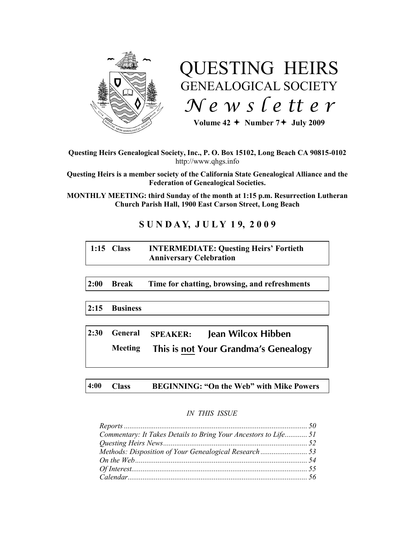

# QUESTING HEIRS GENEALOGICAL SOCIETY *N e w s l e tt e r*

Volume  $42 +$  Number  $7 +$  July 2009

**Questing Heirs Genealogical Society, Inc., P. O. Box 15102, Long Beach CA 90815-0102** http://www.qhgs.info

**Questing Heirs is a member society of the California State Genealogical Alliance and the Federation of Genealogical Societies.**

**MONTHLY MEETING: third Sunday of the month at 1:15 p.m. Resurrection Lutheran Church Parish Hall, 1900 East Carson Street, Long Beach** 

# **S U N D A Y, J U L Y 1 9, 2 0 0 9**

| $1:15$ Class | <b>INTERMEDIATE: Questing Heirs' Fortieth</b> |
|--------------|-----------------------------------------------|
|              | <b>Anniversary Celebration</b>                |

**2:00 Break Time for chatting, browsing, and refreshments**

**2:15 Business**

**2:30 General SPEAKER: Jean Wilcox Hibben Meeting This is not Your Grandma's Genealogy**

**4:00 Class BEGINNING: "On the Web" with Mike Powers**

# *IN THIS ISSUE*

| Commentary: It Takes Details to Bring Your Ancestors to Life 51 |  |
|-----------------------------------------------------------------|--|
|                                                                 |  |
|                                                                 |  |
|                                                                 |  |
|                                                                 |  |
|                                                                 |  |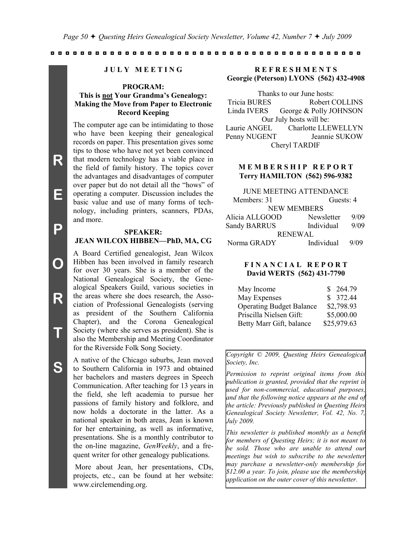#### **J U L Y M E E T I N G**

# **PROGRAM: This is not Your Grandma's Genealogy: Making the Move from Paper to Electronic Record Keeping**

The computer age can be intimidating to those who have been keeping their genealogical records on paper. This presentation gives some tips to those who have not yet been convinced that modern technology has a viable place in the field of family history. The topics cover the advantages and disadvantages of computer over paper but do not detail all the "hows" of operating a computer. Discussion includes the basic value and use of many forms of technology, including printers, scanners, PDAs, and more.

#### **SPEAKER:**

#### **JEAN WILCOX HIBBEN—PhD, MA, CG**

A Board Certified genealogist, Jean Wilcox Hibben has been involved in family research for over 30 years. She is a member of the National Genealogical Society, the Genealogical Speakers Guild, various societies in the areas where she does research, the Association of Professional Genealogists (serving as president of the Southern California Chapter), and the Corona Genealogical Society (where she serves as president). She is also the Membership and Meeting Coordinator for the Riverside Folk Song Society.

A native of the Chicago suburbs, Jean moved to Southern California in 1973 and obtained her bachelors and masters degrees in Speech Communication. After teaching for 13 years in the field, she left academia to pursue her passions of family history and folklore, and now holds a doctorate in the latter. As a national speaker in both areas, Jean is known for her entertaining, as well as informative, presentations. She is a monthly contributor to the on-line magazine, *GenWeekly*, and a frequent writer for other genealogy publications.

More about Jean, her presentations, CDs, projects, etc., can be found at her website: www.circlemending.org.

**R E F R E S H M E N T S Georgie (Peterson) LYONS (562) 432-4908**

Thanks to our June hosts: Tricia BURES Robert COLLINS Linda IVERS George & Polly JOHNSON Our July hosts will be: Laurie ANGEL Charlotte LLEWELLYN Penny NUGENT Jeannie SUKOW Cheryl TARDIF

# **M E M B E R S H I P R E P O R T Terry HAMILTON (562) 596-9382**

| <b>JUNE MEETING ATTENDANCE</b> |      |  |  |  |  |
|--------------------------------|------|--|--|--|--|
| Guests: 4                      |      |  |  |  |  |
| <b>NEW MEMBERS</b>             |      |  |  |  |  |
| Newsletter                     | 9/09 |  |  |  |  |
| Individual                     | 9/09 |  |  |  |  |
| <b>RENEWAL</b>                 |      |  |  |  |  |
| Individual                     | 9/09 |  |  |  |  |
|                                |      |  |  |  |  |

# **F I N A N C I A L R E P O R T David WERTS (562) 431-7790**

| May Income                      | \$264.79    |
|---------------------------------|-------------|
| May Expenses                    | \$372.44    |
| <b>Operating Budget Balance</b> | \$2,798.93  |
| Priscilla Nielsen Gift:         | \$5,000.00  |
| Betty Marr Gift, balance        | \$25,979.63 |

*Copyright © 2009, Questing Heirs Genealogical Society, Inc.*

*Permission to reprint original items from this publication is granted, provided that the reprint is used for non-commercial, educational purposes, and that the following notice appears at the end of the article: Previously published in Questing Heirs Genealogical Society Newsletter, Vol. 42, No. 7, July 2009.*

*This newsletter is published monthly as a benefit for members of Questing Heirs; it is not meant to be sold. Those who are unable to attend our meetings but wish to subscribe to the newsletter may purchase a newsletter-only membership for \$12.00 a year. To join, please use the membership application on the outer cover of this newsletter.*

**E**

**O**

**R**

**T**

**S**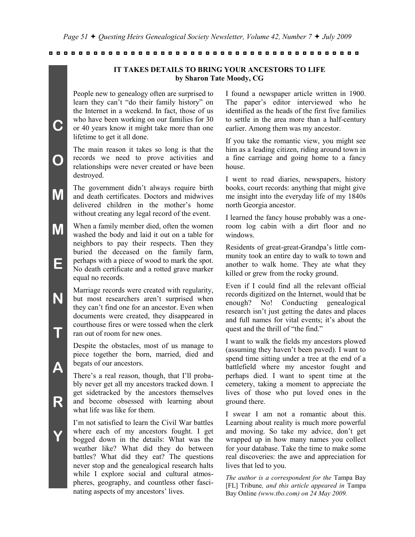**IT TAKES DETAILS TO BRING YOUR ANCESTORS TO LIFE by Sharon Tate Moody, CG**

People new to genealogy often are surprised to learn they can't "do their family history" on the Internet in a weekend. In fact, those of us who have been working on our families for 30 or 40 years know it might take more than one lifetime to get it all done.

**C**

**O**

**N**

**T**

**A**

**R**

**Y**

The main reason it takes so long is that the records we need to prove activities and relationships were never created or have been destroyed.

**M** The government didn't always require birth and death certificates. Doctors and midwives delivered children in the mother's home without creating any legal record of the event.

**M E** When a family member died, often the women washed the body and laid it out on a table for neighbors to pay their respects. Then they buried the deceased on the family farm, perhaps with a piece of wood to mark the spot. No death certificate and a rotted grave marker equal no records.

> Marriage records were created with regularity, but most researchers aren't surprised when they can't find one for an ancestor. Even when documents were created, they disappeared in courthouse fires or were tossed when the clerk ran out of room for new ones.

Despite the obstacles, most of us manage to piece together the born, married, died and begats of our ancestors.

There's a real reason, though, that I'll probably never get all my ancestors tracked down. I get sidetracked by the ancestors themselves and become obsessed with learning about what life was like for them.

I'm not satisfied to learn the Civil War battles where each of my ancestors fought. I get bogged down in the details: What was the weather like? What did they do between battles? What did they eat? The questions never stop and the genealogical research halts while I explore social and cultural atmospheres, geography, and countless other fascinating aspects of my ancestors' lives.

I found a newspaper article written in 1900. The paper's editor interviewed who he identified as the heads of the first five families to settle in the area more than a half-century earlier. Among them was my ancestor.

If you take the romantic view, you might see him as a leading citizen, riding around town in a fine carriage and going home to a fancy house.

I went to read diaries, newspapers, history books, court records: anything that might give me insight into the everyday life of my 1840s north Georgia ancestor.

I learned the fancy house probably was a oneroom log cabin with a dirt floor and no windows.

Residents of great-great-Grandpa's little community took an entire day to walk to town and another to walk home. They ate what they killed or grew from the rocky ground.

Even if I could find all the relevant official records digitized on the Internet, would that be enough? No! Conducting genealogical research isn't just getting the dates and places and full names for vital events; it's about the quest and the thrill of "the find."

I want to walk the fields my ancestors plowed (assuming they haven't been paved). I want to spend time sitting under a tree at the end of a battlefield where my ancestor fought and perhaps died. I want to spent time at the cemetery, taking a moment to appreciate the lives of those who put loved ones in the ground there.

I swear I am not a romantic about this. Learning about reality is much more powerful and moving. So take my advice, don't get wrapped up in how many names you collect for your database. Take the time to make some real discoveries: the awe and appreciation for lives that led to you.

*The author is a correspondent for the* Tampa Bay [FL] Tribune*, and this article appeared in* Tampa Bay Online *(www.tbo.com) on 24 May 2009.*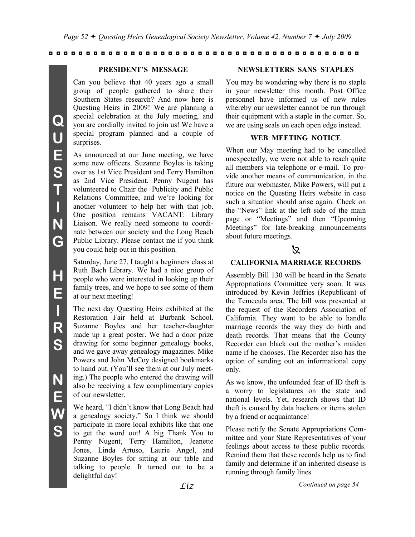# **PRESIDENT'S MESSAGE**

Can you believe that 40 years ago a small group of people gathered to share their Southern States research? And now here is Questing Heirs in 2009! We are planning a special celebration at the July meeting, and you are cordially invited to join us! We have a special program planned and a couple of surprises.

As announced at our June meeting, we have some new officers. Suzanne Boyles is taking over as 1st Vice President and Terry Hamilton as 2nd Vice President. Penny Nugent has volunteered to Chair the Publicity and Public Relations Committee, and we're looking for another volunteer to help her with that job. One position remains VACANT: Library Liaison. We really need someone to coordinate between our society and the Long Beach Public Library. Please contact me if you think you could help out in this position.

Saturday, June 27, I taught a beginners class at Ruth Bach Library. We had a nice group of people who were interested in looking up their family trees, and we hope to see some of them at our next meeting!

The next day Questing Heirs exhibited at the Restoration Fair held at Burbank School. Suzanne Boyles and her teacher-daughter made up a great poster. We had a door prize drawing for some beginner genealogy books, and we gave away genealogy magazines. Mike Powers and John McCoy designed bookmarks to hand out. (You'll see them at our July meeting.) The people who entered the drawing will also be receiving a few complimentary copies of our newsletter.

We heard, "I didn't know that Long Beach had a genealogy society." So I think we should participate in more local exhibits like that one to get the word out! A big Thank You to Penny Nugent, Terry Hamilton, Jeanette Jones, Linda Artuso, Laurie Angel, and Suzanne Boyles for sitting at our table and talking to people. It turned out to be a delightful day!

# **NEWSLETTERS SANS STAPLES**

You may be wondering why there is no staple in your newsletter this month. Post Office personnel have informed us of new rules whereby our newsletter cannot be run through their equipment with a staple in the corner. So, we are using seals on each open edge instead.

# **WEB MEETING NOTICE**

When our May meeting had to be cancelled unexpectedly, we were not able to reach quite all members via telephone or e-mail. To provide another means of communication, in the future our webmaster, Mike Powers, will put a notice on the Questing Heirs website in case such a situation should arise again. Check on the "News" link at the left side of the main page or "Meetings" and then "Upcoming Meetings" for late-breaking announcements about future meetings.

# k.

# **CALIFORNIA MARRIAGE RECORDS**

Assembly Bill 130 will be heard in the Senate Appropriations Committee very soon. It was introduced by Kevin Jeffries (Republican) of the Temecula area. The bill was presented at the request of the Recorders Association of California. They want to be able to handle marriage records the way they do birth and death records. That means that the County Recorder can black out the mother's maiden name if he chooses. The Recorder also has the option of sending out an informational copy only.

As we know, the unfounded fear of ID theft is a worry to legislatures on the state and national levels. Yet, research shows that ID theft is caused by data hackers or items stolen by a friend or acquaintance!

Please notify the Senate Appropriations Committee and your State Representatives of your feelings about access to these public records. Remind them that these records help us to find family and determine if an inherited disease is running through family lines.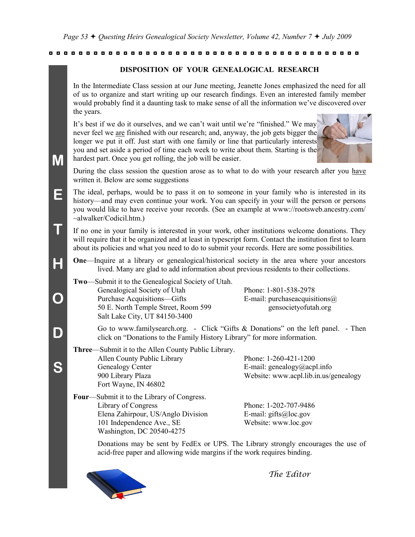### **DISPOSITION OF YOUR GENEALOGICAL RESEARCH**

In the Intermediate Class session at our June meeting, Jeanette Jones emphasized the need for all of us to organize and start writing up our research findings. Even an interested family member would probably find it a daunting task to make sense of all the information we've discovered over the years.

It's best if we do it ourselves, and we can't wait until we're "finished." We may never feel we are finished with our research; and, anyway, the job gets bigger the longer we put it off. Just start with one family or line that particularly interests you and set aside a period of time each week to write about them. Starting is the hardest part. Once you get rolling, the job will be easier.



During the class session the question arose as to what to do with your research after you have written it. Below are some suggestions

- The ideal, perhaps, would be to pass it on to someone in your family who is interested in its history—and may even continue your work. You can specify in your will the person or persons you would like to have receive your records. (See an example at www://rootsweb.ancestry.com/ ~alwalker/Codicil.htm.)
- If no one in your family is interested in your work, other institutions welcome donations. They will require that it be organized and at least in typescript form. Contact the institution first to learn about its policies and what you need to do to submit your records. Here are some possibilities.
	- **One—Inquire at a library or genealogical/historical society in the area where your ancestors** lived. Many are glad to add information about previous residents to their collections.
	- **Two**—Submit it to the Genealogical Society of Utah. Genealogical Society of Utah Phone: 1-801-538-2978 Purchase Acquisitions—Gifts E-mail: purchaseacquisitions (a) 50 E. North Temple Street, Room 599 gensocietyofutah.org Salt Lake City, UT 84150-3400

**M**

**E**

**T**

**H**

**O**

**D**

**S**

Go to www.familysearch.org. - Click "Gifts & Donations" on the left panel. - Then click on "Donations to the Family History Library" for more information.

- **Three**—Submit it to the Allen County Public Library. Allen County Public Library Phone: 1-260-421-1200 Genealogy Center E-mail: genealogy acpl. info 900 Library Plaza Website: www.acpl.lib.in.us/genealogy Fort Wayne, IN 46802
- **Four**—Submit it to the Library of Congress. Library of Congress Phone: 1-202-707-9486 Elena Zahirpour, US/Anglo Division E-mail: gifts@loc.gov 101 Independence Ave., SE Website: www.loc.gov Washington, DC 20540-4275

Donations may be sent by FedEx or UPS. The Library strongly encourages the use of acid-free paper and allowing wide margins if the work requires binding.



*The Editor*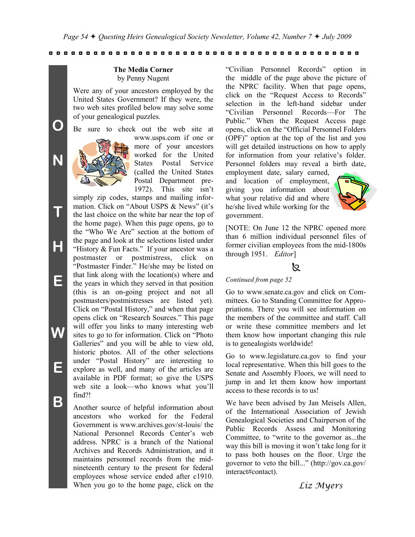#### **The Media Corner** by Penny Nugent

Were any of your ancestors employed by the United States Government? If they were, the two web sites profiled below may solve some of your genealogical puzzles.

Be sure to check out the web site at

**O**

**N**

**T**

**H**

**E**

**W**

**E**

**B**



www.usps.com if one or more of your ancestors worked for the United States Postal Service (called the United States Postal Department pre-1972). This site isn't

simply zip codes, stamps and mailing information. Click on "About USPS & News" (it's the last choice on the white bar near the top of the home page). When this page opens, go to the "Who We Are" section at the bottom of the page and look at the selections listed under "History & Fun Facts." If your ancestor was a postmaster or postmistress, click on "Postmaster Finder." He/she may be listed on that link along with the location(s) where and the years in which they served in that position (this is an on-going project and not all postmasters/postmistresses are listed yet). Click on "Postal History," and when that page opens click on "Research Sources." This page will offer you links to many interesting web sites to go to for information. Click on "Photo Galleries" and you will be able to view old, historic photos. All of the other selections under "Postal History" are interesting to explore as well, and many of the articles are available in PDF format; so give the USPS web site a look—who knows what you'll find?!

Another source of helpful information about ancestors who worked for the Federal Government is www.archives.gov/st-louis/ the National Personnel Records Center's web address. NPRC is a branch of the National Archives and Records Administration, and it maintains personnel records from the midnineteenth century to the present for federal employees whose service ended after c1910. When you go to the home page, click on the

"Civilian Personnel Records" option in the middle of the page above the picture of the NPRC facility. When that page opens, click on the "Request Access to Records" selection in the left-hand sidebar under "Civilian Personnel Records—For The Public." When the Request Access page opens, click on the "Official Personnel Folders (OPF)" option at the top of the list and you will get detailed instructions on how to apply for information from your relative's folder. Personnel folders may reveal a birth date,

employment date, salary earned, and location of employment, giving you information about what your relative did and where he/she lived while working for the government.



[NOTE: On June 12 the NPRC opened more than 6 million individual personnel files of former civilian employees from the mid-1800s through 1951. *Editor*]

# k.

#### *Continued from page 52*

Go to www.senate.ca.gov and click on Committees. Go to Standing Committee for Appropriations. There you will see information on the members of the committee and staff. Call or write these committee members and let them know how important changing this rule is to genealogists worldwide!

Go to www.legislature.ca.gov to find your local representative. When this bill goes to the Senate and Assembly Floors, we will need to jump in and let them know how important access to these records is to us!

We have been advised by Jan Meisels Allen, of the International Association of Jewish Genealogical Societies and Chairperson of the Public Records Assess and Monitoring Committee, to "write to the governor as...the way this bill is moving it won't take long for it to pass both houses on the floor. Urge the governor to veto the bill..." (http://gov.ca.gov/ interact#contact).

# *Liz Myers*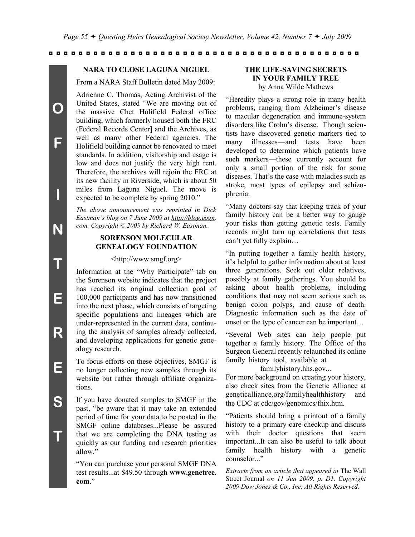#### **NARA TO CLOSE LAGUNA NIGUEL**

From a NARA Staff Bulletin dated May 2009:

Adrienne C. Thomas, Acting Archivist of the United States, stated "We are moving out of the massive Chet Holifield Federal office building, which formerly housed both the FRC (Federal Records Center] and the Archives, as well as many other Federal agencies. The Holifield building cannot be renovated to meet standards. In addition, visitorship and usage is low and does not justify the very high rent. Therefore, the archives will rejoin the FRC at its new facility in Riverside, which is about 50 miles from Laguna Niguel. The move is expected to be complete by spring 2010."

*The above announcement was reprinted in Dick Eastman's blog on 7 June 2009 at http://blog.eogn. com. Copyright © 2009 by Richard W. Eastman.*

# **SORENSON MOLECULAR GENEALOGY FOUNDATION**

#### <http://www.smgf.org>

Information at the "Why Participate" tab on the Sorenson website indicates that the project has reached its original collection goal of 100,000 participants and has now transitioned into the next phase, which consists of targeting specific populations and lineages which are under-represented in the current data, continuing the analysis of samples already collected, and developing applications for genetic genealogy research.

To focus efforts on these objectives, SMGF is no longer collecting new samples through its website but rather through affiliate organizations.

If you have donated samples to SMGF in the past, "be aware that it may take an extended period of time for your data to be posted in the SMGF online databases...Please be assured that we are completing the DNA testing as quickly as our funding and research priorities allow."

"You can purchase your personal SMGF DNA test results...at \$49.50 through **www.genetree. com**."

#### **THE LIFE-SAVING SECRETS IN YOUR FAMILY TREE** by Anna Wilde Mathews

"Heredity plays a strong role in many health problems, ranging from Alzheimer's disease to macular degeneration and immune-system disorders like Crohn's disease. Though scientists have discovered genetic markers tied to many illnesses—and tests have been developed to determine which patients have such markers—these currently account for only a small portion of the risk for some diseases. That's the case with maladies such as stroke, most types of epilepsy and schizophrenia.

"Many doctors say that keeping track of your family history can be a better way to gauge your risks than getting genetic tests. Family records might turn up correlations that tests can't yet fully explain…

"In putting together a family health history, it's helpful to gather information about at least three generations. Seek out older relatives, possibly at family gatherings. You should be asking about health problems, including conditions that may not seem serious such as benign colon polyps, and cause of death. Diagnostic information such as the date of onset or the type of cancer can be important…

"Several Web sites can help people put together a family history. The Office of the Surgeon General recently relaunched its online family history tool, available at

familyhistory.hhs.gov...

For more background on creating your history, also check sites from the Genetic Alliance at geneticalliance.org/familyhealthhistory and the CDC at cdc/gov/genomics/fhix.htm.

"Patients should bring a printout of a family history to a primary-care checkup and discuss with their doctor questions that seem important...It can also be useful to talk about family health history with a genetic counselor."

*Extracts from an article that appeared in* The Wall Street Journal *on 11 Jun 2009, p. D1. Copyright 2009 Dow Jones & Co., Inc. All Rights Reserved.*